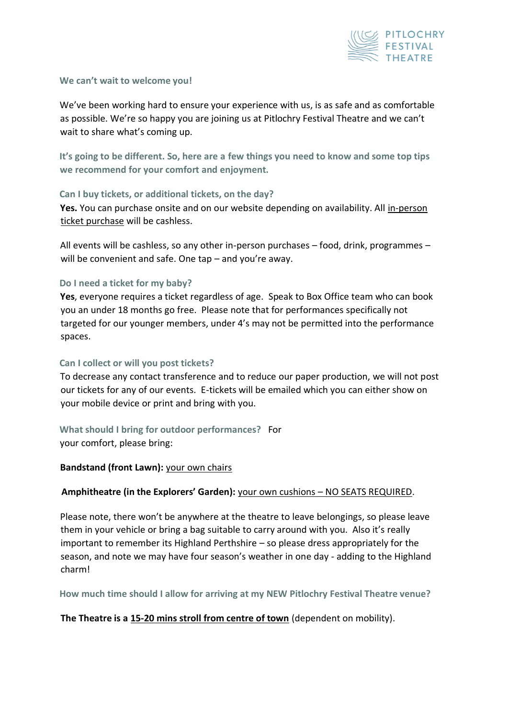

#### **We can't wait to welcome you!**

We've been working hard to ensure your experience with us, is as safe and as comfortable as possible. We're so happy you are joining us at Pitlochry Festival Theatre and we can't wait to share what's coming up.

**It's going to be different. So, here are a few things you need to know and some top tips we recommend for your comfort and enjoyment.**

# **Can I buy tickets, or additional tickets, on the day?**

**Yes.** You can purchase onsite and on our website depending on availability. All in-person ticket purchase will be cashless.

All events will be cashless, so any other in-person purchases – food, drink, programmes – will be convenient and safe. One tap – and you're away.

## **Do I need a ticket for my baby?**

**Yes**, everyone requires a ticket regardless of age. Speak to Box Office team who can book you an under 18 months go free. Please note that for performances specifically not targeted for our younger members, under 4's may not be permitted into the performance spaces.

## **Can I collect or will you post tickets?**

To decrease any contact transference and to reduce our paper production, we will not post our tickets for any of our events. E-tickets will be emailed which you can either show on your mobile device or print and bring with you.

**What should I bring for outdoor performances?** For your comfort, please bring:

# **Bandstand (front Lawn):** your own chairs

# **Amphitheatre (in the Explorers' Garden):** your own cushions – NO SEATS REQUIRED.

Please note, there won't be anywhere at the theatre to leave belongings, so please leave them in your vehicle or bring a bag suitable to carry around with you. Also it's really important to remember its Highland Perthshire – so please dress appropriately for the season, and note we may have four season's weather in one day - adding to the Highland charm!

**How much time should I allow for arriving at my NEW Pitlochry Festival Theatre venue?**

# **The Theatre is a 15-20 mins stroll from centre of town** (dependent on mobility).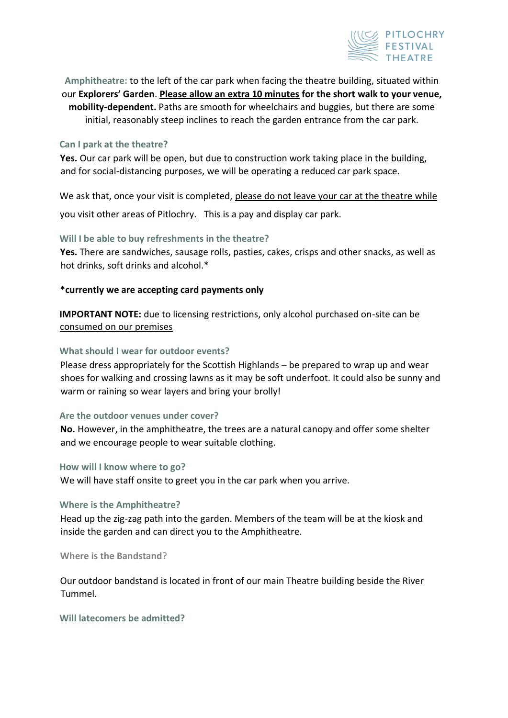

**Amphitheatre:** to the left of the car park when facing the theatre building, situated within our **Explorers' Garden**. **Please allow an extra 10 minutes for the short walk to your venue, mobility-dependent.** Paths are smooth for wheelchairs and buggies, but there are some initial, reasonably steep inclines to reach the garden entrance from the car park.

#### **Can I park at the theatre?**

**Yes.** Our car park will be open, but due to construction work taking place in the building, and for social-distancing purposes, we will be operating a reduced car park space.

We ask that, once your visit is completed, please do not leave your car at the theatre while you visit other areas of Pitlochry. This is a pay and display car park.

**Will I be able to buy refreshments in the theatre?** 

**Yes.** There are sandwiches, sausage rolls, pasties, cakes, crisps and other snacks, as well as hot drinks, soft drinks and alcohol.\*

## **\*currently we are accepting card payments only**

**IMPORTANT NOTE:** due to licensing restrictions, only alcohol purchased on-site can be consumed on our premises

## **What should I wear for outdoor events?**

Please dress appropriately for the Scottish Highlands – be prepared to wrap up and wear shoes for walking and crossing lawns as it may be soft underfoot. It could also be sunny and warm or raining so wear layers and bring your brolly!

#### **Are the outdoor venues under cover?**

**No.** However, in the amphitheatre, the trees are a natural canopy and offer some shelter and we encourage people to wear suitable clothing.

#### **How will I know where to go?**

We will have staff onsite to greet you in the car park when you arrive.

## **Where is the Amphitheatre?**

Head up the zig-zag path into the garden. Members of the team will be at the kiosk and inside the garden and can direct you to the Amphitheatre.

**Where is the Bandstand**?

Our outdoor bandstand is located in front of our main Theatre building beside the River Tummel.

**Will latecomers be admitted?**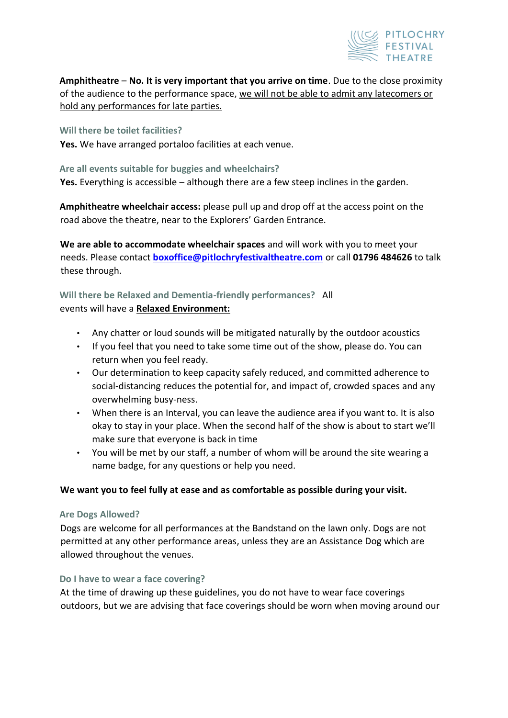

**Amphitheatre** – **No. It is very important that you arrive on time**. Due to the close proximity of the audience to the performance space, we will not be able to admit any latecomers or hold any performances for late parties.

## **Will there be toilet facilities?**

**Yes.** We have arranged portaloo facilities at each venue.

# **Are all events suitable for buggies and wheelchairs?**

**Yes.** Everything is accessible – although there are a few steep inclines in the garden.

**Amphitheatre wheelchair access:** please pull up and drop off at the access point on the road above the theatre, near to the Explorers' Garden Entrance.

**We are able to accommodate wheelchair spaces** and will work with you to meet your needs. Please contact **boxoffice@pitlochryfestivaltheatre.com** or call **01796 484626** to talk these through.

# **Will there be Relaxed and Dementia-friendly performances?** All events will have a **Relaxed Environment:**

- Any chatter or loud sounds will be mitigated naturally by the outdoor acoustics
- If you feel that you need to take some time out of the show, please do. You can return when you feel ready.
- Our determination to keep capacity safely reduced, and committed adherence to social-distancing reduces the potential for, and impact of, crowded spaces and any overwhelming busy-ness.
- When there is an Interval, you can leave the audience area if you want to. It is also okay to stay in your place. When the second half of the show is about to start we'll make sure that everyone is back in time
- You will be met by our staff, a number of whom will be around the site wearing a name badge, for any questions or help you need.

## **We want you to feel fully at ease and as comfortable as possible during your visit.**

## **Are Dogs Allowed?**

Dogs are welcome for all performances at the Bandstand on the lawn only. Dogs are not permitted at any other performance areas, unless they are an Assistance Dog which are allowed throughout the venues.

## **Do I have to wear a face covering?**

At the time of drawing up these guidelines, you do not have to wear face coverings outdoors, but we are advising that face coverings should be worn when moving around our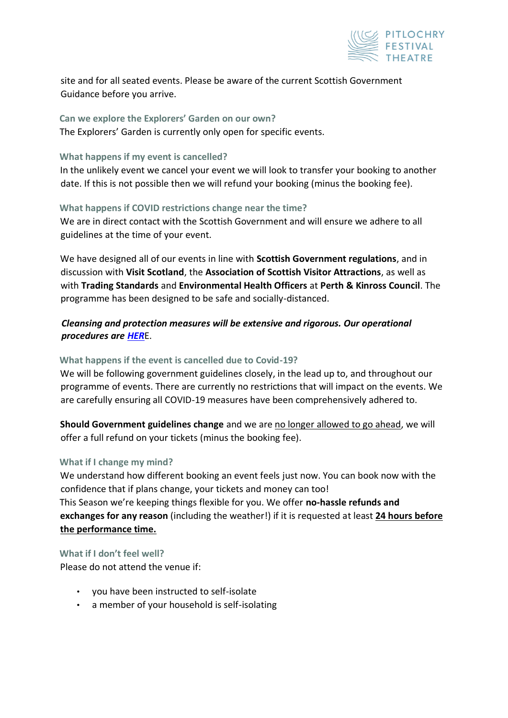

site and for all seated events. Please be aware of the current Scottish Government Guidance before you arrive.

# **Can we explore the Explorers' Garden on our own?**

The Explorers' Garden is currently only open for specific events.

# **What happens if my event is cancelled?**

In the unlikely event we cancel your event we will look to transfer your booking to another date. If this is not possible then we will refund your booking (minus the booking fee).

# **What happens if COVID restrictions change near the time?**

We are in direct contact with the Scottish Government and will ensure we adhere to all guidelines at the time of your event.

We have designed all of our events in line with **Scottish Government regulations**, and in discussion with **Visit Scotland**, the **Association of Scottish Visitor Attractions**, as well as with **Trading Standards** and **Environmental Health Officers** at **Perth & Kinross Council**. The programme has been designed to be safe and socially-distanced.

# *Cleansing and protection measures will be extensive and rigorous. Our operational procedures ar[e](https://pitlochryfestivaltheatre.com/safety-and-wellbeing-are-our-top-priority-covid-operational-procedures/) [HER](https://pitlochryfestivaltheatre.com/safety-and-wellbeing-are-our-top-priority-covid-operational-procedures/)*[E.](https://pitlochryfestivaltheatre.com/safety-and-wellbeing-are-our-top-priority-covid-operational-procedures/)

# **What happens if the event is cancelled due to Covid-19?**

We will be following government guidelines closely, in the lead up to, and throughout our programme of events. There are currently no restrictions that will impact on the events. We are carefully ensuring all COVID-19 measures have been comprehensively adhered to.

**Should Government guidelines change** and we are no longer allowed to go ahead, we will offer a full refund on your tickets (minus the booking fee).

## **What if I change my mind?**

We understand how different booking an event feels just now. You can book now with the confidence that if plans change, your tickets and money can too! This Season we're keeping things flexible for you. We offer **no-hassle refunds and exchanges for any reason** (including the weather!) if it is requested at least **24 hours before the performance time.**

# **What if I don't feel well?**

Please do not attend the venue if:

- you have been instructed to self-isolate
- a member of your household is self-isolating